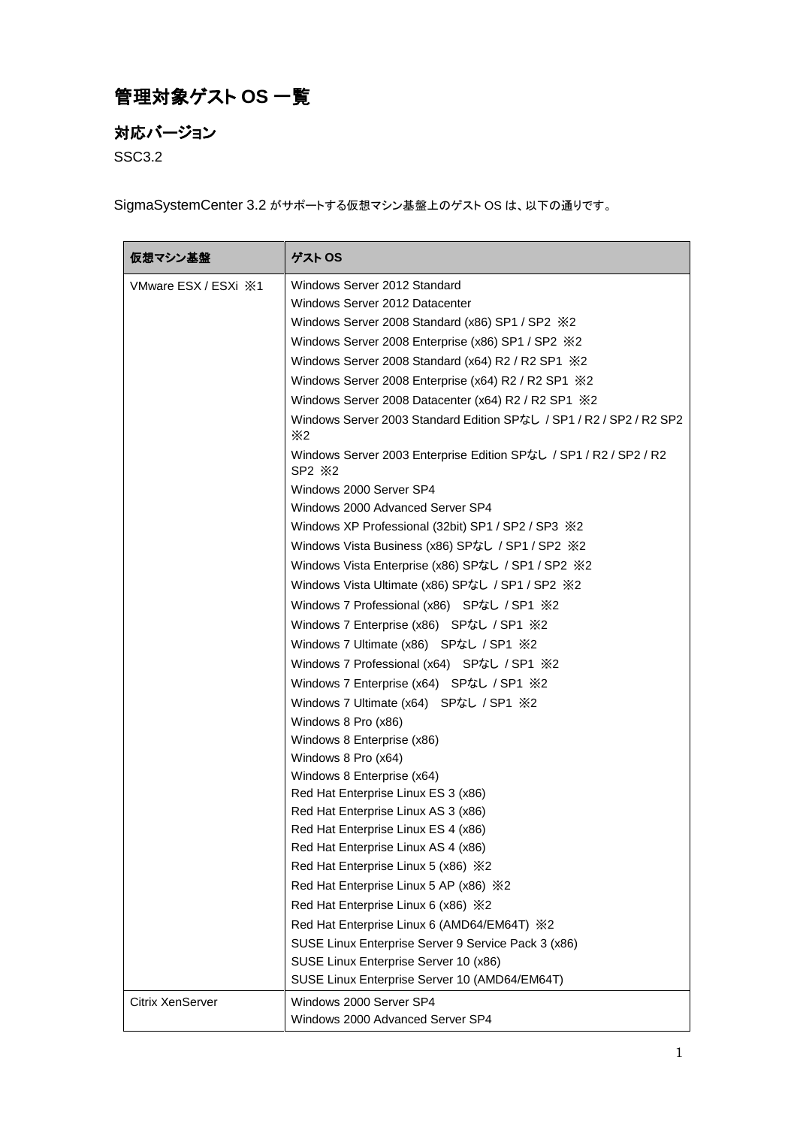## 管理対象ゲスト **OS** 一覧

## 対応バージョン

SSC3.2

SigmaSystemCenter 3.2 がサポートする仮想マシン基盤上のゲスト OS は、以下の通りです。

| 仮想マシン基盤                      | ゲスト OS                                                                                                |
|------------------------------|-------------------------------------------------------------------------------------------------------|
| VMware ESX / ESXi $\cdot$ X1 | Windows Server 2012 Standard                                                                          |
|                              | Windows Server 2012 Datacenter                                                                        |
|                              | Windows Server 2008 Standard (x86) SP1 / SP2 $\%2$                                                    |
|                              | Windows Server 2008 Enterprise (x86) SP1 / SP2 $\divideontimes$ 2                                     |
|                              | Windows Server 2008 Standard (x64) R2 / R2 SP1 $\%$ 2                                                 |
|                              | Windows Server 2008 Enterprise (x64) R2 / R2 SP1 $\%$ 2                                               |
|                              | Windows Server 2008 Datacenter (x64) R2 / R2 SP1 $\%$ 2                                               |
|                              | Windows Server 2003 Standard Edition SPなし / SP1 / R2 / SP2 / R2 SP2<br>$\times 2$                     |
|                              | Windows Server 2003 Enterprise Edition SPなし / SP1 / R2 / SP2 / R2<br>SP2 X2                           |
|                              | Windows 2000 Server SP4                                                                               |
|                              | Windows 2000 Advanced Server SP4                                                                      |
|                              | Windows XP Professional (32bit) SP1 / SP2 / SP3 $\divideontimes$ 2                                    |
|                              | Windows Vista Business (x86) SPなし / SP1 / SP2 ※2                                                      |
|                              | Windows Vista Enterprise (x86) SPなし / SP1 / SP2 ※2                                                    |
|                              | Windows Vista Ultimate (x86) SPなし / SP1 / SP2 ※2                                                      |
|                              | Windows 7 Professional (x86) SPなし / SP1 ※2                                                            |
|                              | Windows 7 Enterprise (x86) SPなし / SP1 ※2                                                              |
|                              | Windows 7 Ultimate (x86) SPなし / SP1 ※2                                                                |
|                              | Windows 7 Professional (x64) SPなし / SP1 ※2                                                            |
|                              | Windows 7 Enterprise (x64) SPなし / SP1 ※2                                                              |
|                              | Windows 7 Ultimate (x64) SPなし / SP1 ※2                                                                |
|                              | Windows 8 Pro (x86)                                                                                   |
|                              | Windows 8 Enterprise (x86)                                                                            |
|                              | Windows 8 Pro (x64)                                                                                   |
|                              | Windows 8 Enterprise (x64)                                                                            |
|                              | Red Hat Enterprise Linux ES 3 (x86)                                                                   |
|                              | Red Hat Enterprise Linux AS 3 (x86)                                                                   |
|                              | Red Hat Enterprise Linux ES 4 (x86)                                                                   |
|                              | Red Hat Enterprise Linux AS 4 (x86)                                                                   |
|                              | Red Hat Enterprise Linux 5 (x86) X2<br>Red Hat Enterprise Linux 5 AP (x86) X2                         |
|                              |                                                                                                       |
|                              | Red Hat Enterprise Linux 6 (x86) X2                                                                   |
|                              | Red Hat Enterprise Linux 6 (AMD64/EM64T) $\&2$<br>SUSE Linux Enterprise Server 9 Service Pack 3 (x86) |
|                              | SUSE Linux Enterprise Server 10 (x86)                                                                 |
|                              | SUSE Linux Enterprise Server 10 (AMD64/EM64T)                                                         |
| Citrix XenServer             | Windows 2000 Server SP4                                                                               |
|                              | Windows 2000 Advanced Server SP4                                                                      |